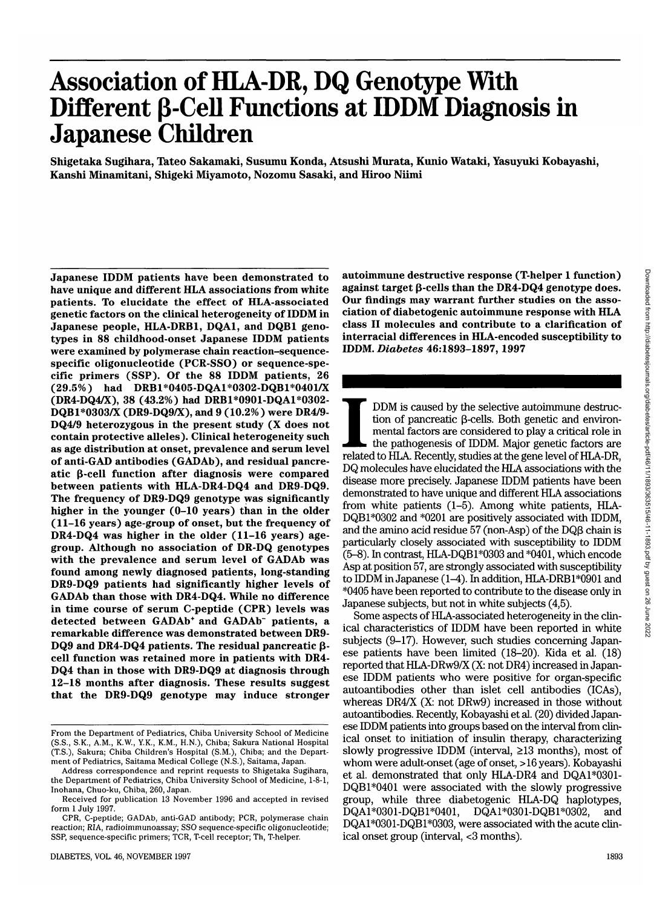# **Association of HLA-DR, DQ Genotype With** Different β-Cell Functions at IDDM Diagnosis in **Japanese Children**

**Shigetaka Sugihara, Tateo Sakamaki, Susumu Konda, Atsushi Murata, Kunio Wataki, Yasuyuki Kobayashi, Kanshi Minamitani, Shigeki Miyamoto, Nozomu Sasaki, and Hiroo Niimi**

**Japanese IDDM patients have been demonstrated to have unique and different HLA associations from white patients. To elucidate the effect of HLA-associated genetic factors on the clinical heterogeneity of IDDM in Japanese people, HLA-DRB1, DQA1, and DQB1 genotypes in 88 childhood-onset Japanese IDDM patients were examined by polymerase chain reaction-sequencespecific oligonucleotide (PCR-SSO) or sequence-specific primers (SSP). Of the 88 IDDM patients, 26 (29.5%) had DRBl\*0405-DQAl\*0302-DQBl\*0401/X (DR4-DQ4/X), 38 (43.2%) had DRBl\*0901-DQAl\*0302- DQBl\*0303/X (DR9-DQ9/X), and 9 (10.2%) were DR4/9- DQ4/9 heterozygous in the present study (X does not contain protective alleles). Clinical heterogeneity such as age distribution at onset, prevalence and serum level of anti-GAD antibodies (GADAb), and residual pancreatic P-cell function after diagnosis were compared between patients with HLA-DR4-DQ4 and DR9-DQ9. The frequency of DR9-DQ9 genotype was significantly higher in the younger (0-10 years) than in the older (11-16 years) age-group of onset, but the frequency of DR4-DQ4 was higher in the older (11-16 years) agegroup. Although no association of DR-DQ genotypes with the prevalence and serum level of GADAb was found among newly diagnosed patients, long-standing DR9-DQ9 patients had significantly higher levels of GADAb than those with DR4-DQ4. While no difference in time course of serum C-peptide (CPR) levels was detected between GADAb\* and GADAb" patients, a remarkable difference was demonstrated between DR9-** DQ9 and DR4-DQ4 patients. The residual pancreatic β**cell function was retained more in patients with DR4- DQ4 than in those with DR9-DQ9 at diagnosis through 12-18 months after diagnosis. These results suggest that the DR9-DQ9 genotype may induce stronger**

**autoimmune destructive response (T-helper 1 function) against target (3-cells than the DR4-DQ4 genotype does. Our findings may warrant further studies on the association of diabetogenic autoimmune response with HLA class II molecules and contribute to a clarification of interracial differences in HLA-encoded susceptibility to IDDM.** *Diabetes* **46:1893-1897, 1997**

IDDM is caused by the selective autoimmune destruction of pancreatic β-cells. Both genetic and environmental factors are considered to play a critical role in the pathogenesis of IDDM. Major genetic factors are related to DDM is caused by the selective autoimmune destruction of pancreatic  $\beta$ -cells. Both genetic and environmental factors are considered to play a critical role in the pathogenesis of IDDM. Major genetic factors are DQ molecules have elucidated the HLA associations with the disease more precisely. Japanese IDDM patients have been demonstrated to have unique and different HLA associations from white patients (1-5). Among white patients, HLA-DQB1\*0302 and \*0201 are positively associated with IDDM, and the amino acid residue  $57$  (non-Asp) of the DQ $\beta$  chain is particularly closely associated with susceptibility to IDDM (5-8). In contrast, HLA-DQBl\*0303 and \*0401, which encode Asp at position 57, are strongly associated with susceptibility to IDDM in Japanese  $(1-4)$ . In addition, HLA-DRB1 $*0901$  and \*0405 have been reported to contribute to the disease only in Japanese subjects, but not in white subjects (4,5).

Some aspects of HLA-associated heterogeneity in the clinical characteristics of IDDM have been reported in white subjects (9-17). However, such studies concerning Japanese patients have been limited (18-20). Kida et al. (18) reported that HLA-DRw9/X (X: not DR4) increased in Japanese IDDM patients who were positive for organ-specific autoantibodies other than islet cell antibodies (ICAs), whereas DR4/X (X: not DRw9) increased in those without autoantibodies. Recently, Kobayashi etal. (20) divided Japanese IDDM patients into groups based on the interval from clinical onset to initiation of insulin therapy, characterizing slowly progressive IDDM (interval,  $\geq$ 13 months), most of whom were adult-onset (age of onset, >16 years). Kobayashi et al. demonstrated that only HLA-DR4 and DQAl\*0301- DQB1\*0401 were associated with the slowly progressive group, while three diabetogenic HLA-DQ haplotypes, DQAl\*0301-DQBl\*0401, DQAl\*0301-DQB 1\*0302, and DQAl\*0301-DQBl\*0303, were associated with the acute clinical onset group (interval, <3 months).

From the Department of Pediatrics, Chiba University School of Medicine (S.S., S.K., A.M., K.W., Y.K., K.M., H.N.), Chiba; Sakura National Hospital (T.S.), Sakura; Chiba Children's Hospital (S.M.), Chiba; and the Department of Pediatrics, Saitama Medical College (N.S.), Saitama, Japan.

Address correspondence and reprint requests to Shigetaka Sugihara, the Department of Pediatrics, Chiba University School of Medicine, 1-8-1, Inohana, Chuo-ku, Chiba, 260, Japan.

Received for publication 13 November 1996 and accepted in revised form 1 July 1997.

CPR, C-peptide; GADAb, anti-GAD antibody; PCR, polymerase chain reaction; RIA, radioimmunoassay; SSO sequence-specific oligonucleotide; SSP, sequence-specific primers; TCR, T-cell receptor; Th, T-helper.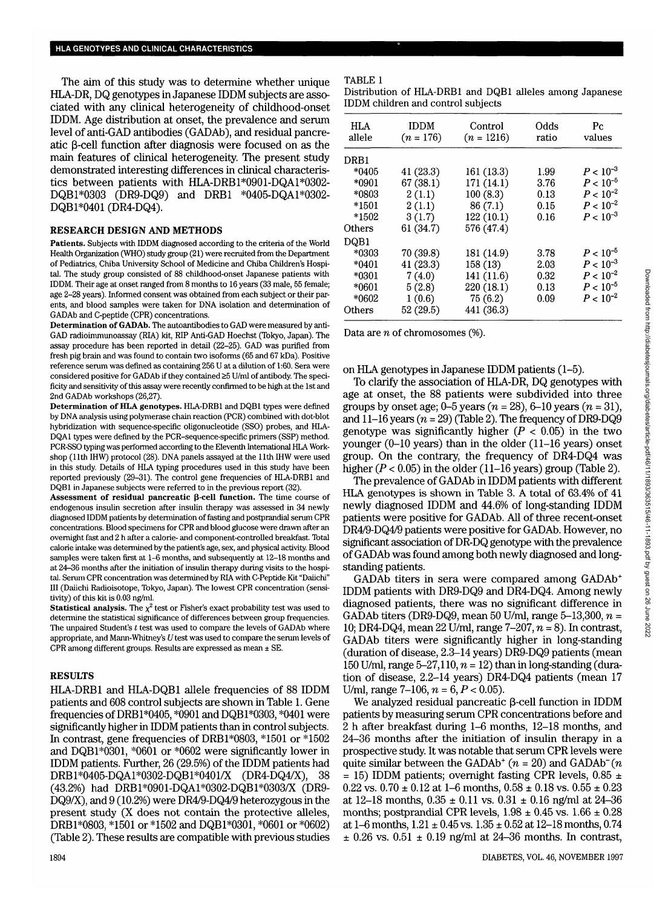The aim of this study was to determine whether unique HLA-DR, DQ genotypes in Japanese IDDM subjects are associated with any clinical heterogeneity of childhood-onset IDDM. Age distribution at onset, the prevalence and serum level of anti-GAD antibodies (GADAb), and residual pancreatic  $\beta$ -cell function after diagnosis were focused on as the main features of clinical heterogeneity. The present study demonstrated interesting differences in clinical characteristics between patients with HLA-DRB 1\*090l-DQAl\*0302- DQB1\*0303 (DR9-DQ9) and DRB1 \*0405-DQA1\*0302-DQB1\*0401 (DR4-DQ4).

#### RESEARCH DESIGN AND METHODS

**Patients.** Subjects with IDDM diagnosed according to the criteria of the World Health Organization (WHO) study group (21) were recruited from the Department of Pediatrics, Chiba University School of Medicine and Chiba Children's Hospital. The study group consisted of 88 childhood-onset Japanese patients with IDDM. Their age at onset ranged from 8 months to 16 years (33 male, 55 female; age 2-28 years). Informed consent was obtained from each subject or their parents, and blood samples were taken for DNA isolation and determination of GADAb and C-peptide (CPR) concentrations.

**Determination of GADAb.** The autoantibodies to GAD were measured by anti-GAD radioimmunoassay (RIA) kit, RIP Anti-GAD Hoechst (Tokyo, Japan). The assay procedure has been reported in detail (22-25). GAD was purified from fresh pig brain and was found to contain two isoforms (65 and 67 kDa). Positive reference serum was defined as containing 256 U at a dilution of 1:60. Sera were considered positive for GADAb if they contained >5 U/ml of antibody. The specificity and sensitivity of this assay were recently confirmed to be high at the 1st and 2nd GADAb workshops (26,27).

**Determination of HLA genotypes.** HLA-DRB1 and DQB1 types were defined by DNA analysis using polymerase chain reaction (PCR) combined with dot-blot hybridization with sequence-specific oligonucleotide (SSO) probes, and HLA-DQA1 types were defined by the PCR-sequence-specific primers (SSP) method. PCR-SSO typing was performed according to the Eleventh International HLA Workshop (11th IHW) protocol (28). DNA panels assayed at the 11th IHW were used in this study. Details of HLA typing procedures used in this study have been reported previously (29-31). The control gene frequencies of HLA-DRB1 and DQB1 in Japanese subjects were referred to in the previous report (32).

**Assessment of residual pancreatic p-cell function.** The time course of endogenous insulin secretion after insulin therapy was assessed in 34 newly diagnosed IDDM patients by determination of fasting and postprandial serum CPR concentrations. Blood specimens for CPR and blood glucose were drawn after an overnight fast and 2 h after a calorie- and component-controlled breakfast. Total calorie intake was determined by the patient's age, sex, and physical activity. Blood samples were taken first at 1-6 months, and subsequently at 12-18 months and at 24-36 months after the initiation of insulin therapy during visits to the hospital. Serum CPR concentration was determined by RIA with C-Peptide Kit "Daiichi" HI (Daiichi Radioisotope, Tokyo, Japan). The lowest CPR concentration (sensitivity) of this kit is 0.03 ng/ml.

**Statistical analysis.** The  $\chi^2$  test or Fisher's exact probability test was used to determine the statistical significance of differences between group frequencies. The unpaired Student's *t* test was used to compare the levels of GADAb where appropriate, and Mann-Whitney's  $U$  test was used to compare the serum levels of CPR among different groups. Results are expressed as mean ± SE.

#### RESULTS

HLA-DRB1 and HLA-DQB1 allele frequencies of 88 IDDM patients and 608 control subjects are shown in Table 1. Gene frequencies of DRB1\*O4O5, \*0901 and DQBl\*0303, \*0401 were significantly higher in IDDM patients than in control subjects. In contrast, gene frequencies of DRB1\*0803, \*1501 or \*1502 and DQBl\*0301, \*0601 or \*0602 were significantly lower in IDDM patients. Further, 26 (29.5%) of the IDDM patients had DRBl\*0405-DQAl\*0302-DQBl\*0401/X (DR4-DQ4/X), 38 (43.2%) had DRBl\*0901-DQAl\*0302-DQBl\*0303/X (DR9- DQ9/X), and 9 (10.2%) were DR4/9-DQ4/9 heterozygous in the present study (X does not contain the protective alleles, DRBl\*0803, \*1501 or \*1502 and DQB1\*Q3O1, \*0601 or \*0602) (Table 2). These results are compatible with previous studies

### TABLE 1

Distribution of HLA-DRB1 and DQB1 alleles among Japanese IDDM children and control subjects

| <b>HLA</b><br>allele | <b>IDDM</b><br>$(n = 176)$ | Control<br>$(n = 1216)$ | Odds<br>ratio | Рc<br>values  |
|----------------------|----------------------------|-------------------------|---------------|---------------|
| DRB1                 |                            |                         |               |               |
| *0405                | 41(23.3)                   | 161 (13.3)              | 1.99          | $P < 10^{-3}$ |
| $*0901$              | 67 (38.1)                  | 171 (14.1)              | 3.76          | $P < 10^{-5}$ |
| $*0803$              | 2(1.1)                     | 100(8.3)                | 0.13          | $P < 10^{-2}$ |
| *1501                | 2(1.1)                     | 86(7.1)                 | 0.15          | $P < 10^{-2}$ |
| *1502                | 3(1.7)                     | 122(10.1)               | 0.16          | $P < 10^{-3}$ |
| Others               | 61 (34.7)                  | 576 (47.4)              |               |               |
| DQB1                 |                            |                         |               |               |
| *0303                | 70 (39.8)                  | 181 (14.9)              | 3.78          | $P < 10^{-5}$ |
| $*0401$              | 41(23.3)                   | 158 (13)                | 2.03          | $P < 10^{-3}$ |
| $*0301$              | 7(4.0)                     | 141 (11.6)              | 0.32          | $P < 10^{-2}$ |
| $*0601$              | 5(2.8)                     | 220 (18.1)              | 0.13          | $P < 10^{-5}$ |
| *0602                | 1(0.6)                     | 75(6.2)                 | 0.09          | $P < 10^{-2}$ |
| Others               | 52 (29.5)                  | 441 (36.3)              |               |               |

Data are *n* of chromosomes (%).

on HLA genotypes in Japanese IDDM patients (1-5).

To clarify the association of HLA-DR, DQ genotypes with age at onset, the 88 patients were subdivided into three groups by onset age; 0-5 years *(n =* 28), 6-10 years *(n* = 31), and  $11-16$  years  $(n = 29)$  (Table 2). The frequency of DR9-DQ9 genotype was significantly higher  $(P < 0.05)$  in the two younger (0-10 years) than in the older (11-16 years) onset group. On the contrary, the frequency of DR4-DQ4 was higher *(P <* 0.05) in the older (11-16 years) group (Table 2).

The prevalence of GADAb in IDDM patients with different HLA genotypes is shown in Table 3. A total of 63.4% of 41 newly diagnosed IDDM and 44.6% of long-standing IDDM patients were positive for GADAb. All of three recent-onset DR4/9-DQ4/9 patients were positive for GADAb. However, no significant association of DR-DQ genotype with the prevalence of GADAb was found among both newly diagnosed and longstanding patients.

GADAb titers in sera were compared among GADAb+ IDDM patients with DR9-DQ9 and DR4-DQ4. Among newly diagnosed patients, there was no significant difference in GADAb titers (DR9-DQ9, mean 50 U/ml, range 5-13,300, *n* = 10; DR4-DQ4, mean 22 U/ml, range 7-207, *n* = 8). In contrast, GADAb titers were significantly higher in long-standing (duration of disease, 2.3-14 years) DR9-DQ9 patients (mean 150 U/ml, range 5-27,110, *n =* 12) than in long-standing (duration of disease, 2.2-14 years) DR4-DQ4 patients (mean 17 U/ml, range 7-106, *n =* 6, *P <* 0.05).

We analyzed residual pancreatic  $\beta$ -cell function in IDDM patients by measuring serum CPR concentrations before and 2 h after breakfast during 1-6 months, 12-18 months, and 24-36 months after the initiation of insulin therapy in a prospective study. It was notable that serum CPR levels were quite similar between the GADAb<sup>+</sup>  $(n = 20)$  and GADAb<sup>-</sup>  $(n$ = 15) IDDM patients; overnight fasting CPR levels,  $0.85 \pm$ 0.22 vs.  $0.70 \pm 0.12$  at 1–6 months,  $0.58 \pm 0.18$  vs.  $0.55 \pm 0.23$ at 12-18 months,  $0.35 \pm 0.11$  vs.  $0.31 \pm 0.16$  ng/ml at 24-36 months; postprandial CPR levels,  $1.98 \pm 0.45$  vs.  $1.66 \pm 0.28$ at 1–6 months,  $1.21 \pm 0.45$  vs.  $1.35 \pm 0.52$  at 12–18 months, 0.74  $\pm$  0.26 vs. 0.51  $\pm$  0.19 ng/ml at 24-36 months. In contrast,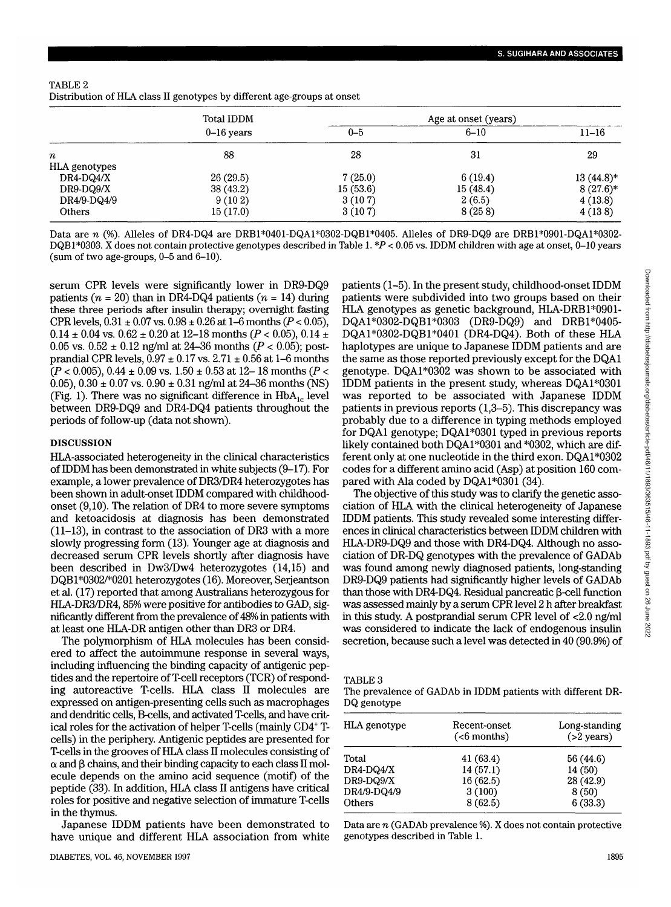| TABLE 2                                                                 |
|-------------------------------------------------------------------------|
| Distribution of HLA class II genotypes by different age-groups at onset |

|                  | Total IDDM   | Age at onset (years) |          |              |
|------------------|--------------|----------------------|----------|--------------|
|                  | $0-16$ years | $0 - 5$              | $6 - 10$ | $11 - 16$    |
| $\boldsymbol{n}$ | 88           | 28                   | 31       | 29           |
| HLA genotypes    |              |                      |          |              |
| DR4-DQ4/X        | 26(29.5)     | 7(25.0)              | 6(19.4)  | $13(44.8)$ * |
| DR9-DQ9/X        | 38(43.2)     | 15(53.6)             | 15(48.4) | $8(27.6)*$   |
| DR4/9-DQ4/9      | 9(102)       | 3(107)               | 2(6.5)   | 4(13.8)      |
| Others           | 15(17.0)     | 3(107)               | 8(258)   | 4(138)       |

Data are *n* (%). Alleles of DR4-DQ4 are DRB1\*0401-DQA1\*0302-DQB1\*0405. Alleles of DR9-DQ9 are DRB1\*0901-DQA1\*0302-DQBP0303. X does not contain protective genotypes described in Table 1. *\*P <* 0.05 vs. IDDM children with age at onset, 0-10 years (sum of two age-groups, 0-5 and 6-10).

serum CPR levels were significantly lower in DR9-DQ9 patients  $(n = 20)$  than in DR4-DQ4 patients  $(n = 14)$  during these three periods after insulin therapy; overnight fasting CPR levels, 0.31 ± 0.07 vs. 0.98 ± 0.26 at 1-6 months *(P <* 0.05), 0.14  $\pm$  0.04 vs. 0.62  $\pm$  0.20 at 12–18 months (P < 0.05), 0.14  $\pm$ 0.05 vs.  $0.52 \pm 0.12$  ng/ml at 24-36 months ( $P < 0.05$ ); postprandial CPR levels,  $0.97 \pm 0.17$  vs.  $2.71 \pm 0.56$  at 1–6 months (P < 0.005), 0.44 ± 0.09 vs. 1.50 ± 0.53 at 12- 18 months (P *<* 0.05),  $0.30 \pm 0.07$  vs.  $0.90 \pm 0.31$  ng/ml at 24-36 months (NS) (Fig. 1). There was no significant difference in  $HbA_{1c}$  level between DR9-DQ9 and DR4-DQ4 patients throughout the periods of follow-up (data not shown).

## DISCUSSION

HLA-associated heterogeneity in the clinical characteristics of IDDM has been demonstrated in white subjects (9-17). For example, a lower prevalence of DR3/DR4 heterozygotes has been shown in adult-onset IDDM compared with childhoodonset (9,10). The relation of DR4 to more severe symptoms and ketoacidosis at diagnosis has been demonstrated (11-13), in contrast to the association of DR3 with a more slowly progressing form (13). Younger age at diagnosis and decreased serum CPR levels shortly after diagnosis have been described in Dw3/Dw4 heterozygotes (14,15) and DQBl\*0302/\*0201 heterozygotes (16). Moreover, Serjeantson et al. (17) reported that among Australians heterozygous for HLA-DR3/DR4,85% were positive for antibodies to GAD, significantly different from the prevalence of 48% in patients with at least one HLA-DR antigen other than DR3 or DR4.

The polymorphism of HLA molecules has been considered to affect the autoimmune response in several ways, including influencing the binding capacity of antigenic peptides and the repertoire of T-cell receptors (TCR) of responding autoreactive T-cells. HLA class II molecules are expressed on antigen-presenting cells such as macrophages and dendritic cells, B-cells, and activated T-cells, and have critical roles for the activation of helper T-cells (mainly CD4+ Tcells) in the periphery. Antigenic peptides are presented for T-cells in the grooves of HLA class II molecules consisting of  $\alpha$  and  $\beta$  chains, and their binding capacity to each class II molecule depends on the amino acid sequence (motif) of the peptide (33). In addition, HLA class II antigens have critical roles for positive and negative selection of immature T-cells in the thymus.

Japanese IDDM patients have been demonstrated to have unique and different HLA association from white patients (1-5). In the present study, childhood-onset IDDM patients were subdivided into two groups based on their HLA genotypes as genetic background, HLA-DRBl\*0901- DQAl\*0302-DQBl\*0303 (DR9-DQ9) and DRBl\*0405- DQA1\*0302-DQB1\*0401 (DR4-DQ4). Both of these HLA haplotypes are unique to Japanese IDDM patients and are the same as those reported previously except for the DQA1 genotype. DQAl\*0302 was shown to be associated with IDDM patients in the present study, whereas  $DQA1*0301$ was reported to be associated with Japanese IDDM patients in previous reports (1,3-5). This discrepancy was probably due to a difference in typing methods employed for DQA1 genotype; DQAl\*0301 typed in previous reports likely contained both DQA1\*0301 and \*0302, which are different only at one nucleotide in the third exon. DQAl\*0302 codes for a different amino acid (Asp) at position 160 compared with Ala coded by DQA1\*0301 (34).

The objective of this study was to clarify the genetic association of HLA with the clinical heterogeneity of Japanese IDDM patients. This study revealed some interesting differences in clinical characteristics between IDDM children with HLA-DR9-DQ9 and those with DR4-DQ4. Although no association of DR-DQ genotypes with the prevalence of GADAb was found among newly diagnosed patients, long-standing DR9-DQ9 patients had significantly higher levels of GADAb than those with DR4-DQ4. Residual pancreatic  $\beta$ -cell function was assessed mainly by a serum CPR level 2 h after breakfast in this study. A postprandial serum CPR level of <2.0 ng/ml was considered to indicate the lack of endogenous insulin secretion, because such a level was detected in 40 (90.9%) of

| .BLE<br>A |  |
|-----------|--|
|-----------|--|

| The prevalence of GADAb in IDDM patients with different DR- |  |  |  |
|-------------------------------------------------------------|--|--|--|
| DQ genotype                                                 |  |  |  |

| HLA genotype | Recent-onset<br>$(<6$ months) | Long-standing<br>$(>2$ years) |
|--------------|-------------------------------|-------------------------------|
| Total        | 41(63.4)                      | 56 (44.6)                     |
| DR4-DQ4/X    | 14(57.1)                      | 14(50)                        |
| DR9-DQ9/X    | 16(62.5)                      | 28 (42.9)                     |
| DR4/9-DQ4/9  | 3(100)                        | 8(50)                         |
| Others       | 8(62.5)                       | 6(33.3)                       |
|              |                               |                               |

Data are *n* (GADAb prevalence %). X does not contain protective genotypes described in Table 1.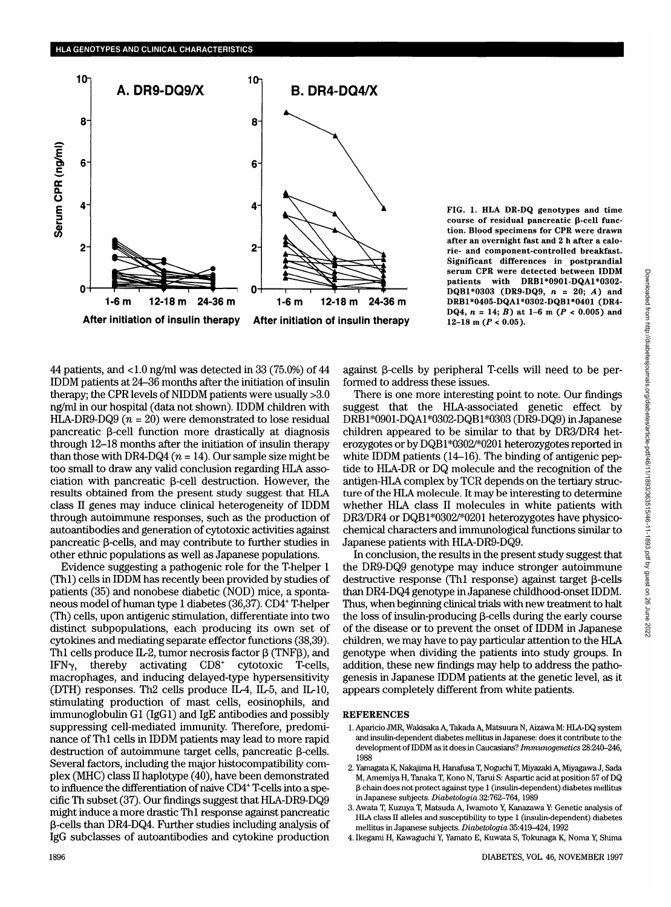

**FIG. 1. HLA DR-DQ genotypes and time course of residual pancreatic (\$-cell function. Blood specimens for CPR were drawn after an overnight fast and 2 h after a calorie- and component-controlled breakfast. Significant differences in postprandial serum CPR were detected between IDDM patients with DRBl\*0901-DQAl\*0302- DQBl\*0303 (DR9-DQ9,** *n =* **20;** *A)* **and DRBl\*0405-DQAl\*0302-DQBl\*0401 (DR4- DQ4,**  $n = 14$ ;  $B$ ) at 1-6 m ( $P < 0.005$ ) and **12-18 m (T** < **0.05).**

44 patients, and <1.0 ng/ml was detected in 33 (75.0%) of 44 IDDM patients at 24-36 months after the initiation of insulin therapy; the CPR levels of NIDDM patients were usually >3.0 ng/ml in our hospital (data not shown). IDDM children with HLA-DR9-DQ9  $(n = 20)$  were demonstrated to lose residual pancreatic  $\beta$ -cell function more drastically at diagnosis through 12-18 months after the initiation of insulin therapy than those with DR4-DQ4  $(n = 14)$ . Our sample size might be too small to draw any valid conclusion regarding HLA association with pancreatic  $\beta$ -cell destruction. However, the results obtained from the present study suggest that HLA class II genes may induce clinical heterogeneity of IDDM through autoimmune responses, such as the production of autoantibodies and generation of cytotoxic activities against pancreatic  $\beta$ -cells, and may contribute to further studies in other ethnic populations as well as Japanese populations.

Evidence suggesting a pathogenic role for the T-helper 1 (Thl) cells in IDDM has recently been provided by studies of patients (35) and nonobese diabetic (NOD) mice, a spontaneous model of human type 1 diabetes (36,37). CD4+ T-helper (Th) cells, upon antigenic stimulation, differentiate into two distinct subpopulations, each producing its own set of cytokines and mediating separate effector functions (38,39). Th1 cells produce IL-2, tumor necrosis factor  $\beta$  (TNF $\beta$ ), and IFN $\gamma$ , thereby activating CD8<sup>+</sup> cytotoxic T-cells, macrophages, and inducing delayed-type hypersensitivity (DTH) responses. Th2 cells produce IL-4, IL-5, and IL-10, stimulating production of mast cells, eosinophils, and immunoglobulin Gl (IgGl) and IgE antibodies and possibly suppressing cell-mediated immunity. Therefore, predominance of Thl cells in IDDM patients may lead to more rapid destruction of autoimmune target cells, pancreatic  $\beta$ -cells. Several factors, including the major histocompatibility complex (MHC) class II haplotype (40), have been demonstrated to influence the differentiation of naive CD4+ T-cells into a specific Th subset (37). Our findings suggest that HLA-DR9-DQ9 might induce a more drastic Thl response against pancreatic (3-cells than DR4-DQ4. Further studies including analysis of IgG subclasses of autoantibodies and cytokine production

against  $\beta$ -cells by peripheral T-cells will need to be performed to address these issues.

There is one more interesting point to note. Our findings suggest that the HLA-associated genetic effect by DRBl\*0901-DQAl\*0302-DQBl\*0303 (DR9-DQ9) in Japanese children appeared to be similar to that by DR3/DR4 heterozygotes or by DQBl\*0302/\*0201 heterozygotes reported in white IDDM patients (14–16). The binding of antigenic peptide to HLA-DR or DQ molecule and the recognition of the antigen-HLA complex by TCR depends on the tertiary structure of the HLA molecule. It may be interesting to determine whether HLA class II molecules in white patients with DR3/DR4 or DQBl\*0302/\*0201 heterozygotes have physicochemical characters and immunological functions similar to Japanese patients with HLA-DR9-DQ9.

In conclusion, the results in the present study suggest that the DR9-DQ9 genotype may induce stronger autoimmune destructive response (Th1 response) against target  $\beta$ -cells than DR4-DQ4 genotype in Japanese childhood-onset IDDM. Thus, when beginning clinical trials with new treatment to halt the loss of insulin-producing  $\beta$ -cells during the early course of the disease or to prevent the onset of IDDM in Japanese children, we may have to pay particular attention to the HLA genotype when dividing the patients into study groups. In addition, these new findings may help to address the pathogenesis in Japanese IDDM patients at the genetic level, as it appears completely different from white patients.

#### **REFERENCES**

- 1. Aparicio JMR, Wakisaka A, Takada A, Matsuura N, Aizawa M: HLA-DQ system and insulin-dependent diabetes mellitus in Japanese: does it contribute to the development of IDDM as it does in Caucasians? *Immunogenetics* 28:240-246, 1988
- 2. Yamagata K, Nakajima H, Hanafusa T, Noguchi T, Miyazaki A, Miyagawa J, Sada M, Amemiya H, Tanaka T, Kono N, Tarui S: Aspartic acid at position 57 of DQ  $\beta$  chain does not protect against type 1 (insulin-dependent) diabetes mellitus in Japanese subjects. *Diabetologia* 32:762-764, 1989
- 3. Awata T, Kuzuya T, Matsuda A, Iwamoto Y, Kanazawa Y: Genetic analysis of HLA class II alleles and susceptibility to type 1 (insulin-dependent) diabetes mellitus in Japanese subjects. *Diabetologia* 35:419^124,1992
- 4. Ikegami H, Kawaguchi Y, Yamato E, Kuwata S, Tokunaga K, Noma Y, Shima